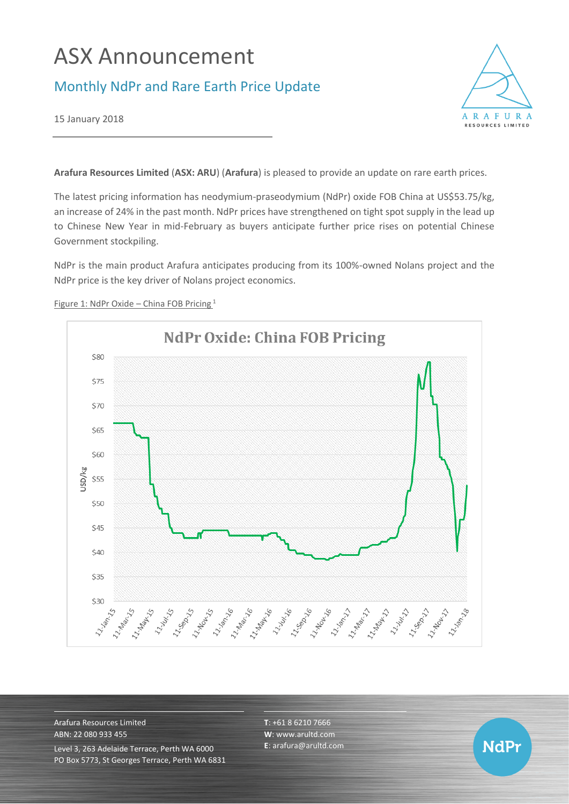# ASX Announcement

## Monthly NdPr and Rare Earth Price Update



15 January 2018

**Arafura Resources Limited** (**ASX: ARU**) (**Arafura**) is pleased to provide an update on rare earth prices.

The latest pricing information has neodymium-praseodymium (NdPr) oxide FOB China at US\$53.75/kg, an increase of 24% in the past month. NdPr prices have strengthened on tight spot supply in the lead up to Chinese New Year in mid-February as buyers anticipate further price rises on potential Chinese Government stockpiling.

NdPr is the main product Arafura anticipates producing from its 100%-owned Nolans project and the NdPr price is the key driver of Nolans project economics.



Figure 1: NdPr Oxide – China FOB Pricing<sup>1</sup>

Arafura Resources Limited ABN: 22 080 933 455 Level 3, 263 Adelaide Terrace, Perth WA 6000 PO Box 5773, St Georges Terrace, Perth WA 6831 **T**: +61 8 6210 7666 **W**: [www.arultd.com](http://www.arultd.com/) **E**[: arafura@arultd.com](mailto:arafura@arultd.com)

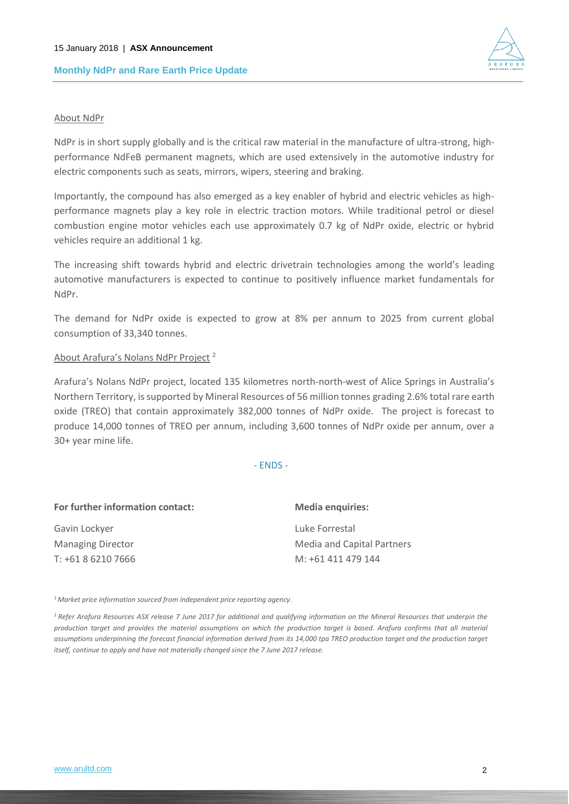

#### About NdPr

NdPr is in short supply globally and is the critical raw material in the manufacture of ultra-strong, highperformance NdFeB permanent magnets, which are used extensively in the automotive industry for electric components such as seats, mirrors, wipers, steering and braking.

Importantly, the compound has also emerged as a key enabler of hybrid and electric vehicles as highperformance magnets play a key role in electric traction motors. While traditional petrol or diesel combustion engine motor vehicles each use approximately 0.7 kg of NdPr oxide, electric or hybrid vehicles require an additional 1 kg.

The increasing shift towards hybrid and electric drivetrain technologies among the world's leading automotive manufacturers is expected to continue to positively influence market fundamentals for NdPr.

The demand for NdPr oxide is expected to grow at 8% per annum to 2025 from current global consumption of 33,340 tonnes.

#### About Arafura's Nolans NdPr Project <sup>2</sup>

Arafura's Nolans NdPr project, located 135 kilometres north-north-west of Alice Springs in Australia's Northern Territory, is supported by Mineral Resources of 56 million tonnes grading 2.6% total rare earth oxide (TREO) that contain approximately 382,000 tonnes of NdPr oxide. The project is forecast to produce 14,000 tonnes of TREO per annum, including 3,600 tonnes of NdPr oxide per annum, over a 30+ year mine life.

- ENDS -

| For further information contact: | <b>Media enquiries:</b>           |
|----------------------------------|-----------------------------------|
| Gavin Lockyer                    | Luke Forrestal                    |
| <b>Managing Director</b>         | <b>Media and Capital Partners</b> |
| T: +61 8 6210 7666               | M: +61 411 479 144                |

<sup>1</sup>*Market price information sourced from independent price reporting agency.*

<sup>2</sup>*Refer Arafura Resources ASX release 7 June 2017 for additional and qualifying information on the Mineral Resources that underpin the production target and provides the material assumptions on which the production target is based. Arafura confirms that all material*  assumptions underpinning the forecast financial information derived from its 14,000 tpa TREO production target and the production target *itself, continue to apply and have not materially changed since the 7 June 2017 release.*